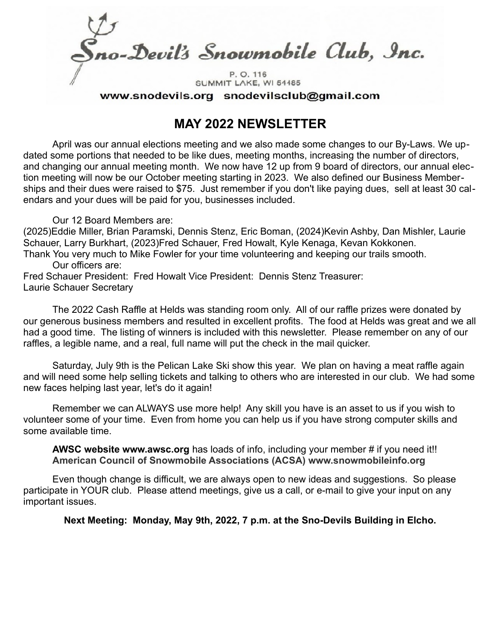o-Devil's Snowmobile Club, Inc. P.O. 116

SUMMIT LAKE, WI 54485 www.snodevils.org snodevilsclub@gmail.com

# **MAY 2022 NEWSLETTER**

April was our annual elections meeting and we also made some changes to our By-Laws. We updated some portions that needed to be like dues, meeting months, increasing the number of directors, and changing our annual meeting month. We now have 12 up from 9 board of directors, our annual election meeting will now be our October meeting starting in 2023. We also defined our Business Memberships and their dues were raised to \$75. Just remember if you don't like paying dues, sell at least 30 calendars and your dues will be paid for you, businesses included.

### Our 12 Board Members are:

(2025)Eddie Miller, Brian Paramski, Dennis Stenz, Eric Boman, (2024)Kevin Ashby, Dan Mishler, Laurie Schauer, Larry Burkhart, (2023)Fred Schauer, Fred Howalt, Kyle Kenaga, Kevan Kokkonen.

Thank You very much to Mike Fowler for your time volunteering and keeping our trails smooth. Our officers are:

Fred Schauer President: Fred Howalt Vice President: Dennis Stenz Treasurer: Laurie Schauer Secretary

The 2022 Cash Raffle at Helds was standing room only. All of our raffle prizes were donated by our generous business members and resulted in excellent profits. The food at Helds was great and we all had a good time. The listing of winners is included with this newsletter. Please remember on any of our raffles, a legible name, and a real, full name will put the check in the mail quicker.

Saturday, July 9th is the Pelican Lake Ski show this year. We plan on having a meat raffle again and will need some help selling tickets and talking to others who are interested in our club. We had some new faces helping last year, let's do it again!

Remember we can ALWAYS use more help! Any skill you have is an asset to us if you wish to volunteer some of your time. Even from home you can help us if you have strong computer skills and some available time.

**AWSC website www.awsc.org** has loads of info, including your member # if you need it!! **American Council of Snowmobile Associations (ACSA) www.snowmobileinfo.org**

Even though change is difficult, we are always open to new ideas and suggestions. So please participate in YOUR club. Please attend meetings, give us a call, or e-mail to give your input on any important issues.

**Next Meeting: Monday, May 9th, 2022, 7 p.m. at the Sno-Devils Building in Elcho.**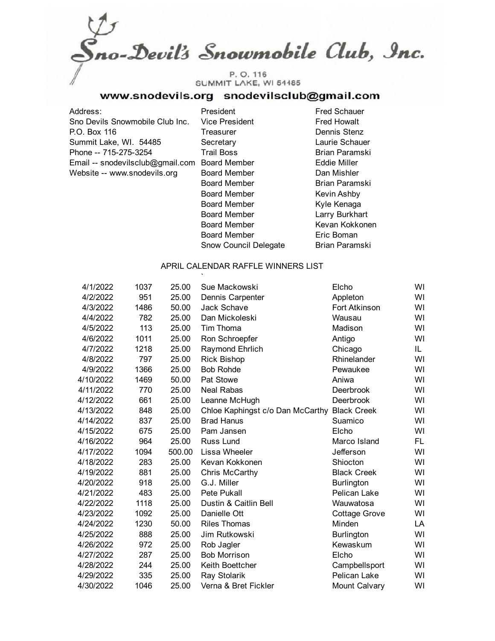no-Devil's Snowmobile Club, Inc. P.O. 116 SUMMIT LAKE, WI 54485

### www.snodevils.org snodevilsclub@gmail.com

Address: President Fred Schauer Sno Devils Snowmobile Club Inc. Vice President Fred Howalt P.O. Box 116 Treasurer Contract Contract Dennis Stenz Summit Lake, WI. 54485 Secretary Secretary Laurie Schauer Phone -- 715-275-3254 Trail Boss Brian Paramski Email -- snodevilsclub@gmail.com Board Member Fuller Website -- www.snodevils.org Board Member Dan Mishler

Board Member Brian Paramski Board Member Kevin Ashby Board Member Kyle Kenaga Board Member Larry Burkhart Board Member Kevan Kokkonen Board Member **Eric Boman** Snow Council Delegate Brian Paramski

#### APRIL CALENDAR RAFFLE WINNERS LIST

| 4/1/2022  | 1037 | 25.00  | Sue Mackowski                    | Elcho              | WI  |
|-----------|------|--------|----------------------------------|--------------------|-----|
| 4/2/2022  | 951  | 25.00  | Dennis Carpenter                 | Appleton           | WI  |
| 4/3/2022  | 1486 | 50.00  | <b>Jack Schave</b>               | Fort Atkinson      | WI  |
| 4/4/2022  | 782  | 25.00  | Dan Mickoleski                   | Wausau             | WI  |
| 4/5/2022  | 113  | 25.00  | Tim Thoma                        | Madison            | WI  |
| 4/6/2022  | 1011 | 25.00  | Ron Schroepfer                   | Antigo             | WI  |
| 4/7/2022  | 1218 | 25.00  | <b>Raymond Ehrlich</b>           | Chicago            | IL  |
| 4/8/2022  | 797  | 25.00  | <b>Rick Bishop</b>               | Rhinelander        | WI  |
| 4/9/2022  | 1366 | 25.00  | <b>Bob Rohde</b>                 | Pewaukee           | WI  |
| 4/10/2022 | 1469 | 50.00  | Pat Stowe                        | Aniwa              | WI  |
| 4/11/2022 | 770  | 25.00  | <b>Neal Rabas</b>                | Deerbrook          | WI  |
| 4/12/2022 | 661  | 25.00  | Leanne McHugh                    | Deerbrook          | WI  |
| 4/13/2022 | 848  | 25.00  | Chloe Kaphingst c/o Dan McCarthy | <b>Black Creek</b> | WI  |
| 4/14/2022 | 837  | 25.00  | <b>Brad Hanus</b>                | Suamico            | WI  |
| 4/15/2022 | 675  | 25.00  | Pam Jansen                       | Elcho              | WI  |
| 4/16/2022 | 964  | 25.00  | Russ Lund                        | Marco Island       | FL. |
| 4/17/2022 | 1094 | 500.00 | Lissa Wheeler                    | Jefferson          | WI  |
| 4/18/2022 | 283  | 25.00  | Kevan Kokkonen                   | Shiocton           | WI  |
| 4/19/2022 | 881  | 25.00  | Chris McCarthy                   | <b>Black Creek</b> | WI  |
| 4/20/2022 | 918  | 25.00  | G.J. Miller                      | Burlington         | WI  |
| 4/21/2022 | 483  | 25.00  | Pete Pukall                      | Pelican Lake       | WI  |
| 4/22/2022 | 1118 | 25.00  | Dustin & Caitlin Bell            | Wauwatosa          | WI  |
| 4/23/2022 | 1092 | 25.00  | Danielle Ott                     | Cottage Grove      | WI  |
| 4/24/2022 | 1230 | 50.00  | <b>Riles Thomas</b>              | Minden             | LA  |
| 4/25/2022 | 888  | 25.00  | Jim Rutkowski                    | Burlington         | WI  |
| 4/26/2022 | 972  | 25.00  | Rob Jagler                       | Kewaskum           | WI  |
| 4/27/2022 | 287  | 25.00  | <b>Bob Morrison</b>              | Elcho              | WI  |
| 4/28/2022 | 244  | 25.00  | Keith Boettcher                  | Campbellsport      | WI  |
| 4/29/2022 | 335  | 25.00  | Ray Stolarik                     | Pelican Lake       | WI  |
| 4/30/2022 | 1046 | 25.00  | Verna & Bret Fickler             | Mount Calvary      | WI  |